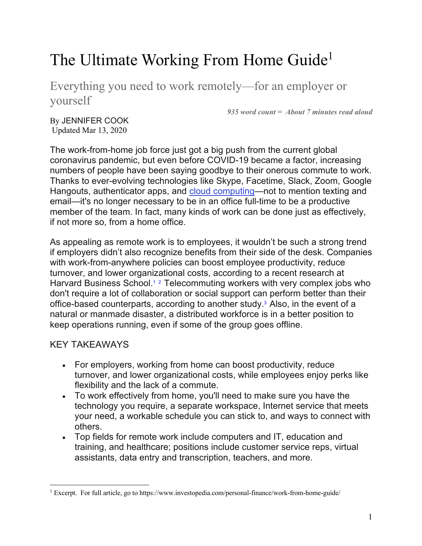# The Ultimate Working From Home Guide<sup>1</sup>

Everything you need to work remotely—for an employer or yourself

*935 word count = About 7 minutes read aloud*

By JENNIFER COOK Updated Mar 13, 2020

The work-from-home job force just got a big push from the current global coronavirus pandemic, but even before COVID-19 became a factor, increasing numbers of people have been saying goodbye to their onerous commute to work. Thanks to ever-evolving technologies like Skype, Facetime, Slack, Zoom, Google Hangouts, authenticator apps, and cloud computing—not to mention texting and email—it's no longer necessary to be in an office full-time to be a productive member of the team. In fact, many kinds of work can be done just as effectively, if not more so, from a home office.

As appealing as remote work is to employees, it wouldn't be such a strong trend if employers didn't also recognize benefits from their side of the desk. Companies with work-from-anywhere policies can boost employee productivity, reduce turnover, and lower organizational costs, according to a recent research at Harvard Business School.<sup>1</sup><sup>2</sup> Telecommuting workers with very complex jobs who don't require a lot of collaboration or social support can perform better than their office-based counterparts, according to another study.<sup>3</sup> Also, in the event of a natural or manmade disaster, a distributed workforce is in a better position to keep operations running, even if some of the group goes offline.

# KEY TAKEAWAYS

- For employers, working from home can boost productivity, reduce turnover, and lower organizational costs, while employees enjoy perks like flexibility and the lack of a commute.
- To work effectively from home, you'll need to make sure you have the technology you require, a separate workspace, Internet service that meets your need, a workable schedule you can stick to, and ways to connect with others.
- Top fields for remote work include computers and IT, education and training, and healthcare; positions include customer service reps, virtual assistants, data entry and transcription, teachers, and more.

<sup>&</sup>lt;sup>1</sup> Excerpt. For full article, go to https://www.investopedia.com/personal-finance/work-from-home-guide/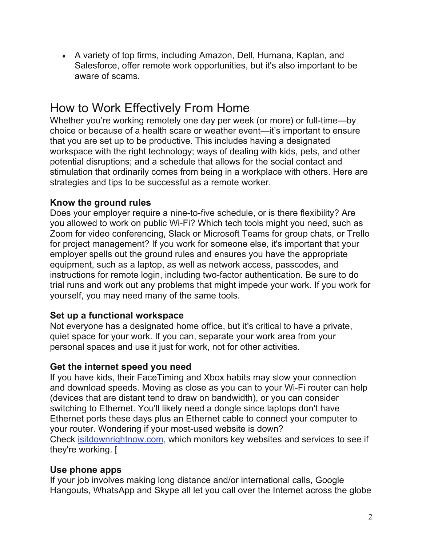• A variety of top firms, including Amazon, Dell, Humana, Kaplan, and Salesforce, offer remote work opportunities, but it's also important to be aware of scams.

# How to Work Effectively From Home

Whether you're working remotely one day per week (or more) or full-time—by choice or because of a health scare or weather event—it's important to ensure that you are set up to be productive. This includes having a designated workspace with the right technology; ways of dealing with kids, pets, and other potential disruptions; and a schedule that allows for the social contact and stimulation that ordinarily comes from being in a workplace with others. Here are strategies and tips to be successful as a remote worker.

#### **Know the ground rules**

Does your employer require a nine-to-five schedule, or is there flexibility? Are you allowed to work on public Wi-Fi? Which tech tools might you need, such as Zoom for video conferencing, Slack or Microsoft Teams for group chats, or Trello for project management? If you work for someone else, it's important that your employer spells out the ground rules and ensures you have the appropriate equipment, such as a laptop, as well as network access, passcodes, and instructions for remote login, including two-factor authentication. Be sure to do trial runs and work out any problems that might impede your work. If you work for yourself, you may need many of the same tools.

# **Set up a functional workspace**

Not everyone has a designated home office, but it's critical to have a private, quiet space for your work. If you can, separate your work area from your personal spaces and use it just for work, not for other activities.

#### **Get the internet speed you need**

If you have kids, their FaceTiming and Xbox habits may slow your connection and download speeds. Moving as close as you can to your Wi-Fi router can help (devices that are distant tend to draw on bandwidth), or you can consider switching to Ethernet. You'll likely need a dongle since laptops don't have Ethernet ports these days plus an Ethernet cable to connect your computer to your router. Wondering if your most-used website is down? Check isitdownrightnow.com, which monitors key websites and services to see if they're working. [

# **Use phone apps**

If your job involves making long distance and/or international calls, Google Hangouts, WhatsApp and Skype all let you call over the Internet across the globe